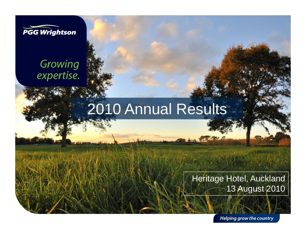

#### Growing expertise.

## 2010 Annual Results

#### Heritage Hotel, Auckland 13 August 2010

Helping grow the country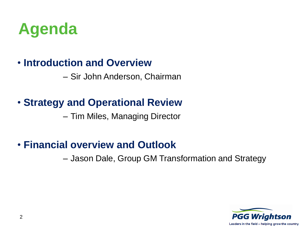

#### • **Introduction and Overview**

– Sir John Anderson, Chairman

#### • **Strategy and Operational Review**

– Tim Miles, Managing Director

#### • **Financial overview and Outlook**

– Jason Dale, Group GM Transformation and Strategy

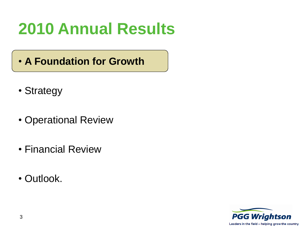- **A Foundation for Growth**
- Strategy
- Operational Review
- Financial Review
- Outlook.

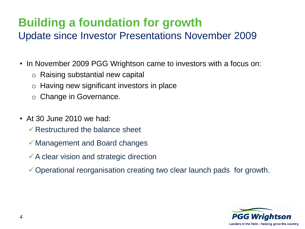#### **Building a foundation for growth** Update since Investor Presentations November 2009

- In November 2009 PGG Wrightson came to investors with a focus on:
	- o Raising substantial new capital
	- o Having new significant investors in place
	- o Change in Governance.
- At 30 June 2010 we had:
	- $\sqrt{\ }$ Restructured the balance sheet
	- Management and Board changes
	- $\checkmark$  A clear vision and strategic direction
	- Operational reorganisation creating two clear launch pads for growth.

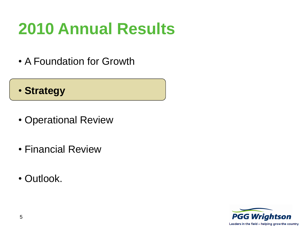• A Foundation for Growth

#### • **Strategy**

- Operational Review
- Financial Review
- Outlook.

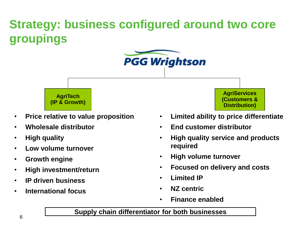### **Strategy: business configured around two core groupings**





- **Price relative to value proposition**
- **Wholesale distributor**
- **High quality**
- **Low volume turnover**
- **Growth engine**
- **High investment/return**
- **IP driven business**
- **International focus**

**AgriServices (Customers & Distribution)**

- **Limited ability to price differentiate**
- **End customer distributor**
- **High quality service and products required**
- **High volume turnover**
- **Focused on delivery and costs**
- **Limited IP**
- **NZ centric**
- **Finance enabled**

#### **Supply chain differentiator for both businesses**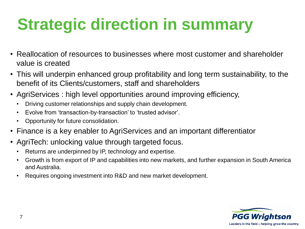# **Strategic direction in summary**

- Reallocation of resources to businesses where most customer and shareholder value is created
- This will underpin enhanced group profitability and long term sustainability, to the benefit of its Clients/customers, staff and shareholders
- AgriServices : high level opportunities around improving efficiency,
	- Driving customer relationships and supply chain development.
	- Evolve from 'transaction-by-transaction' to 'trusted advisor'.
	- Opportunity for future consolidation.
- Finance is a key enabler to AgriServices and an important differentiator
- AgriTech: unlocking value through targeted focus.
	- Returns are underpinned by IP, technology and expertise.
	- Growth is from export of IP and capabilities into new markets, and further expansion in South America and Australia.
	- Requires ongoing investment into R&D and new market development.

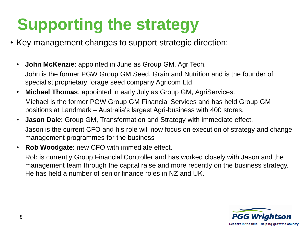## **Supporting the strategy**

- Key management changes to support strategic direction:
	- **John McKenzie**: appointed in June as Group GM, AgriTech. John is the former PGW Group GM Seed, Grain and Nutrition and is the founder of specialist proprietary forage seed company Agricom Ltd
	- **Michael Thomas**: appointed in early July as Group GM, AgriServices. Michael is the former PGW Group GM Financial Services and has held Group GM positions at Landmark – Australia's largest Agri-business with 400 stores.
	- **Jason Dale**: Group GM, Transformation and Strategy with immediate effect. Jason is the current CFO and his role will now focus on execution of strategy and change management programmes for the business
	- **Rob Woodgate**: new CFO with immediate effect.

Rob is currently Group Financial Controller and has worked closely with Jason and the management team through the capital raise and more recently on the business strategy. He has held a number of senior finance roles in NZ and UK.

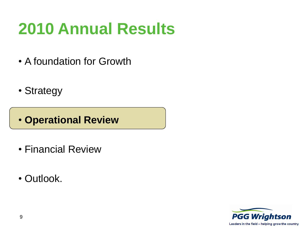- A foundation for Growth
- Strategy
- **Operational Review**
- Financial Review
- Outlook.

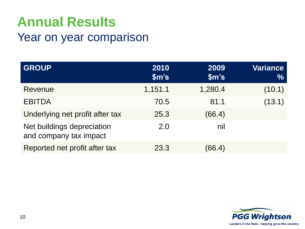#### Year on year comparison

| <b>GROUP</b>                                         | 2010<br>$\mathsf{Sm}$ 's | 2009<br>$\mathsf{Sm}$ 's | Variance<br>$\frac{0}{0}$ |
|------------------------------------------------------|--------------------------|--------------------------|---------------------------|
| Revenue                                              | 1,151.1                  | 1,280.4                  | (10.1)                    |
| <b>EBITDA</b>                                        | 70.5                     | 81.1                     | (13.1)                    |
| Underlying net profit after tax                      | 25.3                     | (66.4)                   |                           |
| Net buildings depreciation<br>and company tax impact | 2.0                      | nil                      |                           |
| Reported net profit after tax                        | 23.3                     | (66.4)                   |                           |

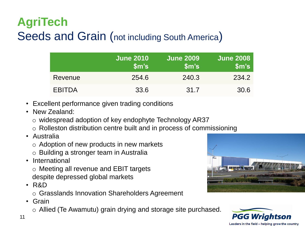### **AgriTech** Seeds and Grain (not including South America)

|               | <b>June 2010</b><br>$\mathsf{Sm}$ 's | <b>June 2009</b><br>$\mathsf{Sm}$ 's | <b>June 2008</b><br>$\mathsf{Sm}$ 's |
|---------------|--------------------------------------|--------------------------------------|--------------------------------------|
| Revenue       | 254.6                                | 240.3                                | 234.2                                |
| <b>EBITDA</b> | 33.6                                 | 31.7                                 | 30.6                                 |

- Excellent performance given trading conditions
- New Zealand:
	- o widespread adoption of key endophyte Technology AR37
	- o Rolleston distribution centre built and in process of commissioning
- Australia
	- o Adoption of new products in new markets
	- o Building a stronger team in Australia
- International

o Meeting all revenue and EBIT targets despite depressed global markets

- R&D
	- o Grasslands Innovation Shareholders Agreement
- Grain
	- o Allied (Te Awamutu) grain drying and storage site purchased.



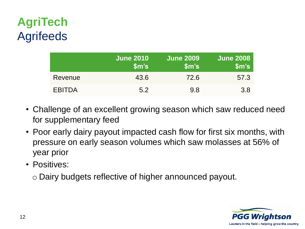### **AgriTech Agrifeeds**

|               | <b>June 2010</b><br>$\mathsf{Sm}$ 's | <b>June 2009</b><br>$\mathsf{Sm}$ 's | <b>June 2008</b><br>$\mathsf{Sm}$ 's |
|---------------|--------------------------------------|--------------------------------------|--------------------------------------|
| Revenue       | 43.6                                 | 72.6                                 | 57.3                                 |
| <b>EBITDA</b> | 5.2                                  | 9.8                                  | 3.8                                  |

- Challenge of an excellent growing season which saw reduced need for supplementary feed
- Poor early dairy payout impacted cash flow for first six months, with pressure on early season volumes which saw molasses at 56% of year prior
- Positives:

o Dairy budgets reflective of higher announced payout.

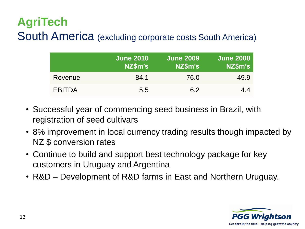#### **AgriTech** South America (excluding corporate costs South America)

|               | <b>June 2010</b><br>NZ\$m's | <b>June 2009</b><br>NZ\$m's | <b>June 2008</b><br>NZ\$m's |
|---------------|-----------------------------|-----------------------------|-----------------------------|
| Revenue       | 84.1                        | 76.0                        | 49.9                        |
| <b>EBITDA</b> | 5.5                         | 6.2                         | 4.4                         |

- Successful year of commencing seed business in Brazil, with registration of seed cultivars
- 8% improvement in local currency trading results though impacted by NZ \$ conversion rates
- Continue to build and support best technology package for key customers in Uruguay and Argentina
- R&D Development of R&D farms in East and Northern Uruguay.

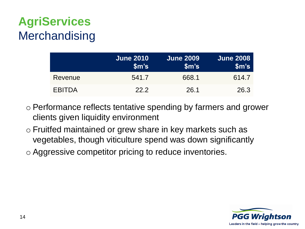### **AgriServices Merchandising**

|               | <b>June 2010</b><br>$\mathsf{Sm}$ 's | <b>June 2009</b><br>$\mathsf{Sm}$ 's | <b>June 2008</b><br>$\mathsf{Sm}$ 's |
|---------------|--------------------------------------|--------------------------------------|--------------------------------------|
| Revenue       | 541.7                                | 668.1                                | 614.7                                |
| <b>EBITDA</b> | 222                                  | 26.1                                 | 26.3                                 |

- o Performance reflects tentative spending by farmers and grower clients given liquidity environment
- o Fruitfed maintained or grew share in key markets such as vegetables, though viticulture spend was down significantly
- o Aggressive competitor pricing to reduce inventories.

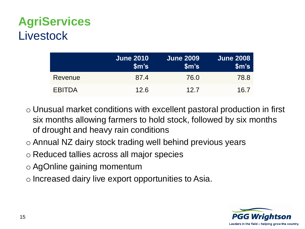### **AgriServices Livestock**

|               | <b>June 2010</b><br>$\mathsf{Sm}$ 's | <b>June 2009</b><br>$\mathsf{Sm}$ 's | <b>June 2008</b><br>$\mathsf{Sm}$ 's |
|---------------|--------------------------------------|--------------------------------------|--------------------------------------|
| Revenue       | 87.4                                 | 76.0                                 | 78.8                                 |
| <b>EBITDA</b> | 12.6                                 | 12.7                                 | 16.7                                 |

- o Unusual market conditions with excellent pastoral production in first six months allowing farmers to hold stock, followed by six months of drought and heavy rain conditions
- o Annual NZ dairy stock trading well behind previous years
- o Reduced tallies across all major species
- o AgOnline gaining momentum
- o Increased dairy live export opportunities to Asia.

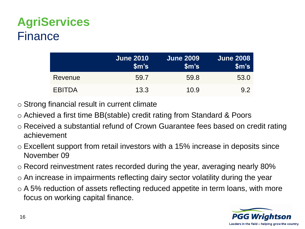#### **AgriServices** Finance

|               | <b>June 2010</b><br>$\mathsf{Sm}$ 's | <b>June 2009</b><br>$\mathsf{Sm}$ 's | <b>June 2008</b><br>$\mathsf{Sm}$ 's |
|---------------|--------------------------------------|--------------------------------------|--------------------------------------|
| Revenue       | 59.7                                 | 59.8                                 | 53.0                                 |
| <b>EBITDA</b> | 13.3                                 | 10.9                                 | 9.2                                  |

- o Strong financial result in current climate
- o Achieved a first time BB(stable) credit rating from Standard & Poors
- o Received a substantial refund of Crown Guarantee fees based on credit rating achievement
- o Excellent support from retail investors with a 15% increase in deposits since November 09
- o Record reinvestment rates recorded during the year, averaging nearly 80%
- o An increase in impairments reflecting dairy sector volatility during the year
- o A 5% reduction of assets reflecting reduced appetite in term loans, with more focus on working capital finance.

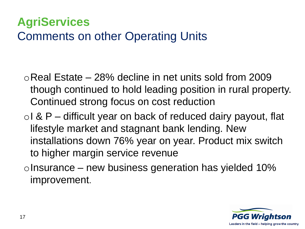#### **AgriServices** Comments on other Operating Units

- $\circ$ Real Estate 28% decline in net units sold from 2009 though continued to hold leading position in rural property. Continued strong focus on cost reduction
- $\circ$ I & P difficult year on back of reduced dairy payout, flat lifestyle market and stagnant bank lending. New installations down 76% year on year. Product mix switch to higher margin service revenue
- $\circ$ Insurance new business generation has yielded 10% improvement.

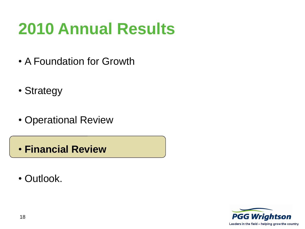- A Foundation for Growth
- Strategy
- Operational Review
- **Financial Review**
- Outlook.

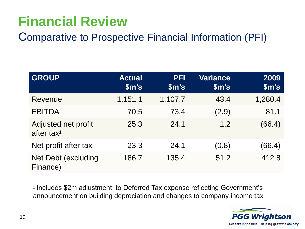### **Financial Review**

Comparative to Prospective Financial Information (PFI)

| <b>GROUP</b>                                  | <b>Actual</b><br>$\mathsf{Sm}$ 's | <b>PFI</b><br>$\mathsf{Sm}$ 's | <b>Variance</b><br>$\mathsf{Sm}$ 's | 2009<br>$\mathsf{Sm}$ 's |
|-----------------------------------------------|-----------------------------------|--------------------------------|-------------------------------------|--------------------------|
| Revenue                                       | 1,151.1                           | 1,107.7                        | 43.4                                | 1,280.4                  |
| <b>EBITDA</b>                                 | 70.5                              | 73.4                           | (2.9)                               | 81.1                     |
| Adjusted net profit<br>after tax <sup>1</sup> | 25.3                              | 24.1                           | 1.2                                 | (66.4)                   |
| Net profit after tax                          | 23.3                              | 24.1                           | (0.8)                               | (66.4)                   |
| Net Debt (excluding<br>Finance)               | 186.7                             | 135.4                          | 51.2                                | 412.8                    |

<sup>1</sup> Includes \$2m adjustment to Deferred Tax expense reflecting Government's announcement on building depreciation and changes to company income tax

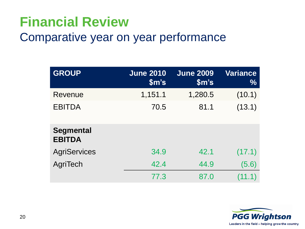### **Financial Review**

#### Comparative year on year performance

| <b>GROUP</b>                      | <b>June 2010</b><br>$\mathsf{Sm}$ 's | <b>June 2009</b><br>\$m's | <b>Variance</b><br>$\frac{0}{0}$ |
|-----------------------------------|--------------------------------------|---------------------------|----------------------------------|
| Revenue                           | 1,151.1                              | 1,280.5                   | (10.1)                           |
| <b>EBITDA</b>                     | 70.5                                 | 81.1                      | (13.1)                           |
| <b>Segmental</b><br><b>EBITDA</b> |                                      |                           |                                  |
| <b>AgriServices</b>               | 34.9                                 | 42.1                      | (17.1)                           |
| AgriTech                          | 42.4                                 | 44.9                      | (5.6)                            |
|                                   | 77.3                                 | 87.0                      | (11.1)                           |

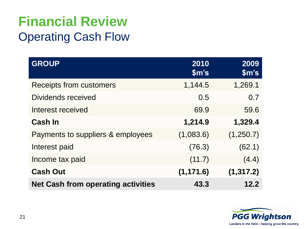### **Financial Review** Operating Cash Flow

| <b>GROUP</b>                              | 2010<br>$\mathsf{Sm}$ 's | 2009<br>$\mathsf{Sm}$ 's |
|-------------------------------------------|--------------------------|--------------------------|
| <b>Receipts from customers</b>            | 1,144.5                  | 1,269.1                  |
| Dividends received                        | 0.5                      | 0.7                      |
| Interest received                         | 69.9                     | 59.6                     |
| <b>Cash In</b>                            | 1,214.9                  | 1,329.4                  |
| Payments to suppliers & employees         | (1,083.6)                | (1,250.7)                |
| Interest paid                             | (76.3)                   | (62.1)                   |
| Income tax paid                           | (11.7)                   | (4.4)                    |
| <b>Cash Out</b>                           | (1, 171.6)               | (1, 317.2)               |
| <b>Net Cash from operating activities</b> | 43.3                     | 12.2                     |

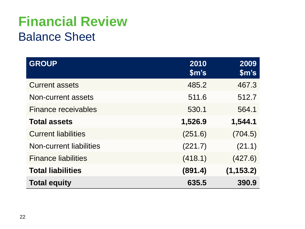### **Financial Review** Balance Sheet

| <b>GROUP</b>                   | 2010<br>$\mathsf{Sm}$ 's | 2009<br>$\mathsf{Sm}$ 's |
|--------------------------------|--------------------------|--------------------------|
| <b>Current assets</b>          | 485.2                    | 467.3                    |
| Non-current assets             | 511.6                    | 512.7                    |
| Finance receivables            | 530.1                    | 564.1                    |
| <b>Total assets</b>            | 1,526.9                  | 1,544.1                  |
| <b>Current liabilities</b>     | (251.6)                  | (704.5)                  |
| <b>Non-current liabilities</b> | (221.7)                  | (21.1)                   |
| <b>Finance liabilities</b>     | (418.1)                  | (427.6)                  |
| <b>Total liabilities</b>       | (891.4)                  | (1, 153.2)               |
| <b>Total equity</b>            | 635.5                    | 390.9                    |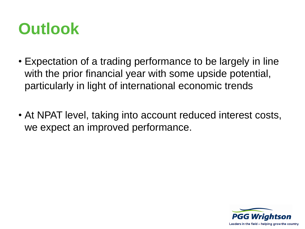

- Expectation of a trading performance to be largely in line with the prior financial year with some upside potential, particularly in light of international economic trends
- At NPAT level, taking into account reduced interest costs, we expect an improved performance.